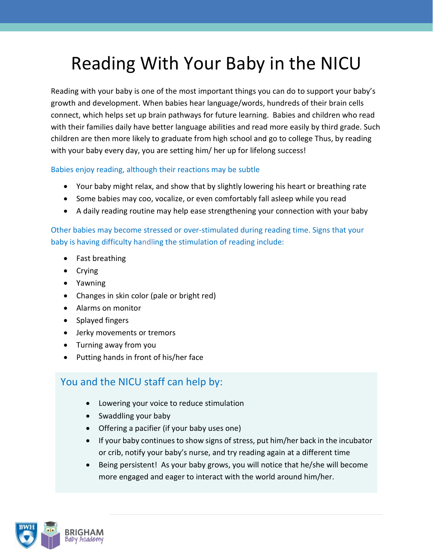## Reading With Your Baby in the NICU

Reading with your baby is one of the most important things you can do to support your baby's growth and development. When babies hear language/words, hundreds of their brain cells connect, which helps set up brain pathways for future learning. Babies and children who read with their families daily have better language abilities and read more easily by third grade. Such children are then more likely to graduate from high school and go to college Thus, by reading with your baby every day, you are setting him/ her up for lifelong success!

Babies enjoy reading, although their reactions may be subtle

- Your baby might relax, and show that by slightly lowering his heart or breathing rate
- Some babies may coo, vocalize, or even comfortably fall asleep while you read
- A daily reading routine may help ease strengthening your connection with your baby

Other babies may become stressed or over-stimulated during reading time. Signs that your baby is having difficulty handling the stimulation of reading include:

- Fast breathing
- Crying
- Yawning
- Changes in skin color (pale or bright red)
- Alarms on monitor
- Splayed fingers
- Jerky movements or tremors
- Turning away from you
- Putting hands in front of his/her face

## You and the NICU staff can help by:

- Lowering your voice to reduce stimulation
- Swaddling your baby
- Offering a pacifier (if your baby uses one)
- If your baby continues to show signs of stress, put him/her back in the incubator or crib, notify your baby's nurse, and try reading again at a different time
- Being persistent! As your baby grows, you will notice that he/she will become more engaged and eager to interact with the world around him/her.